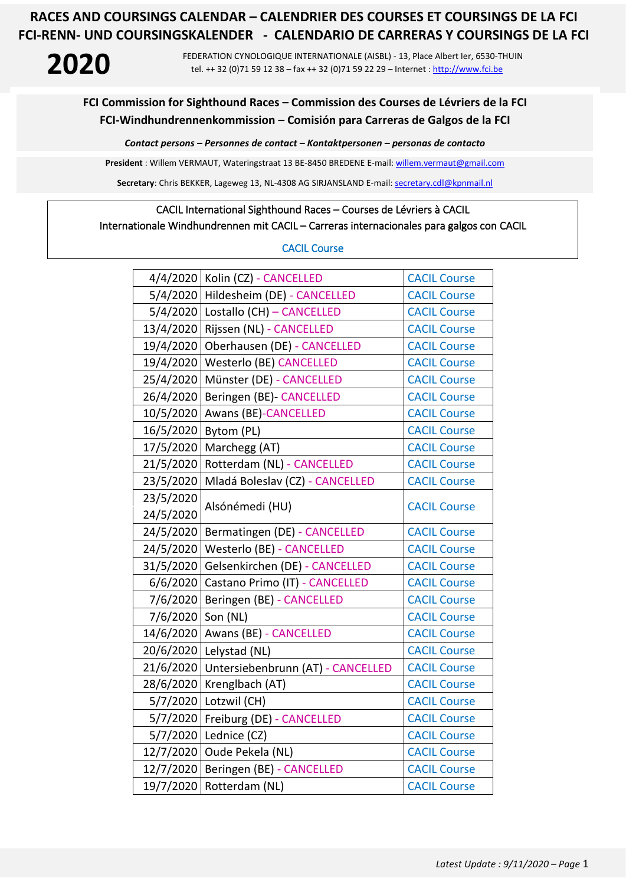**2020** FEDERATION CYNOLOGIQUE INTERNATIONALE (AISBL) - 13, Place Albert Ier, 6530-THUIN tel. ++ 32 (0)71 59 12 38 – fax ++ 32 (0)71 59 22 29 – Internet : [http://www.fci.be](http://www.fci.be/)

### **FCI Commission for Sighthound Races – Commission des Courses de Lévriers de la FCI FCI-Windhundrennenkommission – Comisión para Carreras de Galgos de la FCI**

*Contact persons – Personnes de contact – Kontaktpersonen – personas de contacto*

**President** : Willem VERMAUT, Wateringstraat 13 BE-8450 BREDENE E-mail: [willem.vermaut@gmail.com](mailto:willem.vermaut@gmail.com) 

Secretary: Chris BEKKER, Lageweg 13, NL-4308 AG SIRJANSLAND E-mail[: secretary.cdl@kpnmail.nl](mailto:secretary.cdl@kpnmail.nl)

# CACIL International Sighthound Races – Courses de Lévriers à CACIL

## Internationale Windhundrennen mit CACIL – Carreras internacionales para galgos con CACIL

### CACIL Course

|           | 4/4/2020 Kolin (CZ) - CANCELLED      | <b>CACIL Course</b> |  |
|-----------|--------------------------------------|---------------------|--|
| 5/4/2020  | Hildesheim (DE) - CANCELLED          | <b>CACIL Course</b> |  |
|           | 5/4/2020   Lostallo (CH) - CANCELLED | <b>CACIL Course</b> |  |
|           | 13/4/2020 Rijssen (NL) - CANCELLED   | <b>CACIL Course</b> |  |
| 19/4/2020 | Oberhausen (DE) - CANCELLED          | <b>CACIL Course</b> |  |
| 19/4/2020 | <b>Westerlo (BE) CANCELLED</b>       | <b>CACIL Course</b> |  |
| 25/4/2020 | Münster (DE) - CANCELLED             | <b>CACIL Course</b> |  |
| 26/4/2020 | Beringen (BE)- CANCELLED             | <b>CACIL Course</b> |  |
| 10/5/2020 | Awans (BE)-CANCELLED                 | <b>CACIL Course</b> |  |
| 16/5/2020 | Bytom (PL)                           | <b>CACIL Course</b> |  |
| 17/5/2020 | Marchegg (AT)                        | <b>CACIL Course</b> |  |
| 21/5/2020 | Rotterdam (NL) - CANCELLED           | <b>CACIL Course</b> |  |
| 23/5/2020 | Mladá Boleslav (CZ) - CANCELLED      | <b>CACIL Course</b> |  |
| 23/5/2020 | Alsónémedi (HU)                      | <b>CACIL Course</b> |  |
| 24/5/2020 |                                      |                     |  |
| 24/5/2020 | Bermatingen (DE) - CANCELLED         | <b>CACIL Course</b> |  |
| 24/5/2020 | Westerlo (BE) - CANCELLED            | <b>CACIL Course</b> |  |
| 31/5/2020 | Gelsenkirchen (DE) - CANCELLED       | <b>CACIL Course</b> |  |
| 6/6/2020  | Castano Primo (IT) - CANCELLED       | <b>CACIL Course</b> |  |
| 7/6/2020  | Beringen (BE) - CANCELLED            | <b>CACIL Course</b> |  |
| 7/6/2020  | Son (NL)                             | <b>CACIL Course</b> |  |
| 14/6/2020 | Awans (BE) - CANCELLED               | <b>CACIL Course</b> |  |
| 20/6/2020 | Lelystad (NL)                        | <b>CACIL Course</b> |  |
| 21/6/2020 | Untersiebenbrunn (AT) - CANCELLED    | <b>CACIL Course</b> |  |
| 28/6/2020 | Krenglbach (AT)                      | <b>CACIL Course</b> |  |
| 5/7/2020  | Lotzwil (CH)                         | <b>CACIL Course</b> |  |
| 5/7/2020  | Freiburg (DE) - CANCELLED            | <b>CACIL Course</b> |  |
| 5/7/2020  | Lednice (CZ)                         | <b>CACIL Course</b> |  |
| 12/7/2020 | Oude Pekela (NL)                     | <b>CACIL Course</b> |  |
| 12/7/2020 | Beringen (BE) - CANCELLED            | <b>CACIL Course</b> |  |
| 19/7/2020 | Rotterdam (NL)                       | <b>CACIL Course</b> |  |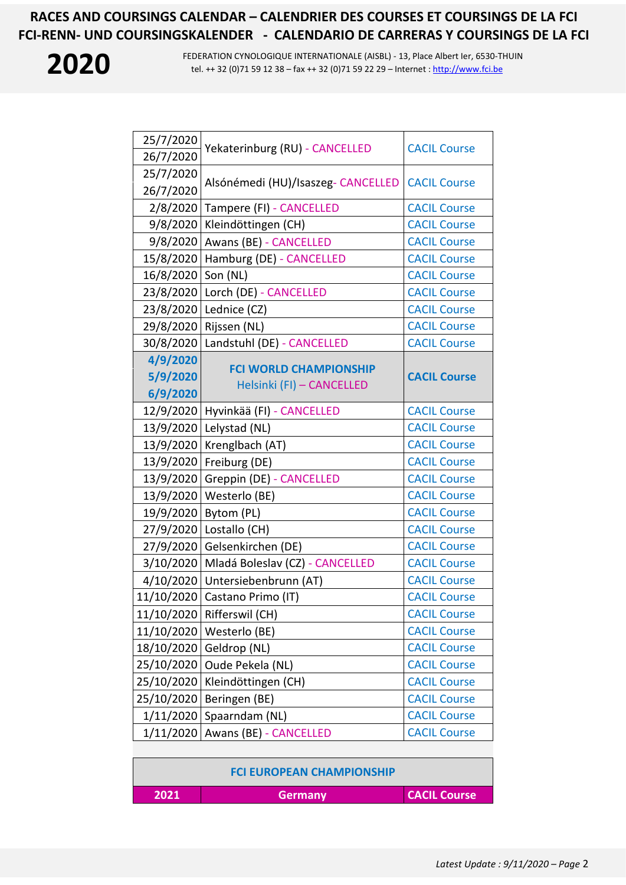

**2020** FEDERATION CYNOLOGIQUE INTERNATIONALE (AISBL) - 13, Place Albert Ier, 6530-THUIN tel. ++ 32 (0)71 59 12 38 – fax ++ 32 (0)71 59 22 29 – Internet : [http://www.fci.be](http://www.fci.be/)

| 25/7/2020<br>26/7/2020 | Yekaterinburg (RU) - CANCELLED     | <b>CACIL Course</b> |
|------------------------|------------------------------------|---------------------|
| 25/7/2020<br>26/7/2020 | Alsónémedi (HU)/Isaszeg- CANCELLED | <b>CACIL Course</b> |
| 2/8/2020               | Tampere (FI) - CANCELLED           | <b>CACIL Course</b> |
| 9/8/2020               | Kleindöttingen (CH)                | <b>CACIL Course</b> |
| 9/8/2020               | Awans (BE) - CANCELLED             | <b>CACIL Course</b> |
| 15/8/2020              | Hamburg (DE) - CANCELLED           | <b>CACIL Course</b> |
| 16/8/2020              | Son (NL)                           | <b>CACIL Course</b> |
| 23/8/2020              | Lorch (DE) - CANCELLED             | <b>CACIL Course</b> |
| 23/8/2020              | Lednice (CZ)                       | <b>CACIL Course</b> |
| 29/8/2020              | Rijssen (NL)                       | <b>CACIL Course</b> |
| 30/8/2020              | Landstuhl (DE) - CANCELLED         | <b>CACIL Course</b> |
| 4/9/2020               | <b>FCI WORLD CHAMPIONSHIP</b>      |                     |
| 5/9/2020               | Helsinki (FI) - CANCELLED          | <b>CACIL Course</b> |
| 6/9/2020               |                                    |                     |
| 12/9/2020              | Hyvinkää (FI) - CANCELLED          | <b>CACIL Course</b> |
| 13/9/2020              | Lelystad (NL)                      | <b>CACIL Course</b> |
| 13/9/2020              | Krenglbach (AT)                    | <b>CACIL Course</b> |
| 13/9/2020              | Freiburg (DE)                      | <b>CACIL Course</b> |
| 13/9/2020              | Greppin (DE) - CANCELLED           | <b>CACIL Course</b> |
| 13/9/2020              | Westerlo (BE)                      | <b>CACIL Course</b> |
| 19/9/2020              | Bytom (PL)                         | <b>CACIL Course</b> |
| 27/9/2020              | Lostallo (CH)                      | <b>CACIL Course</b> |
| 27/9/2020              | Gelsenkirchen (DE)                 | <b>CACIL Course</b> |
| 3/10/2020              | Mladá Boleslav (CZ) - CANCELLED    | <b>CACIL Course</b> |
| 4/10/2020              | Untersiebenbrunn (AT)              | <b>CACIL Course</b> |
| 11/10/2020             | Castano Primo (IT)                 | <b>CACIL Course</b> |
| 11/10/2020             | Rifferswil (CH)                    | <b>CACIL Course</b> |
| 11/10/2020             | Westerlo (BE)                      | <b>CACIL Course</b> |
| 18/10/2020             | Geldrop (NL)                       | <b>CACIL Course</b> |
| 25/10/2020             | Oude Pekela (NL)                   | <b>CACIL Course</b> |
| 25/10/2020             | Kleindöttingen (CH)                | <b>CACIL Course</b> |
| 25/10/2020             | Beringen (BE)                      | <b>CACIL Course</b> |
| 1/11/2020              | Spaarndam (NL)                     | <b>CACIL Course</b> |
| 1/11/2020              | Awans (BE) - CANCELLED             | <b>CACIL Course</b> |
|                        |                                    |                     |

**FCI EUROPEAN CHAMPIONSHIP**

| 2021 | <b>Germany</b> | <b>CACIL Course</b> |
|------|----------------|---------------------|

*Latest Update : 9/11/2020 – Page* 2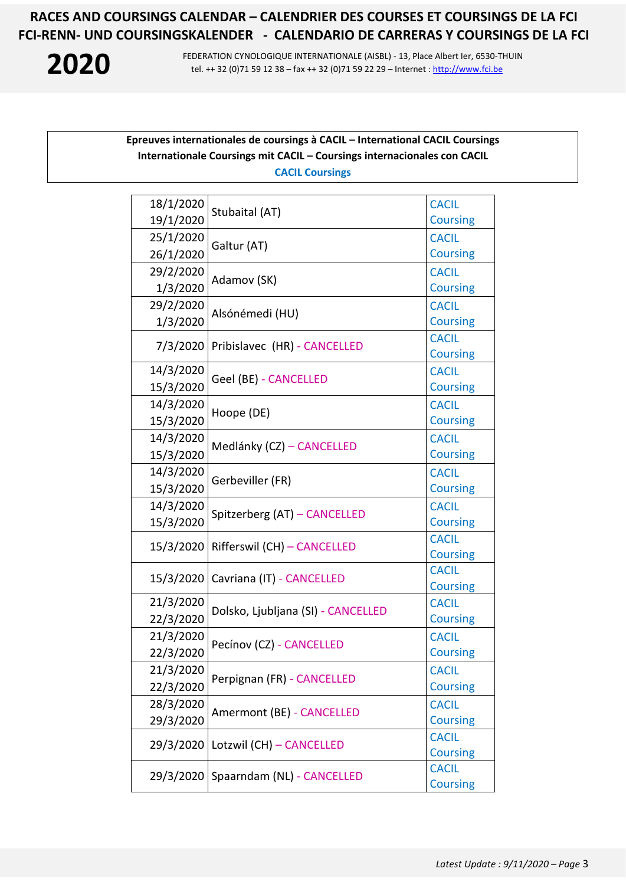

**2020** FEDERATION CYNOLOGIQUE INTERNATIONALE (AISBL) - 13, Place Albert Ier, 6530-THUIN tel. ++ 32 (0)71 59 12 38 – fax ++ 32 (0)71 59 22 29 – Internet : [http://www.fci.be](http://www.fci.be/)

### **Epreuves internationales de coursings à CACIL – International CACIL Coursings Internationale Coursings mit CACIL – Coursings internacionales con CACIL CACIL Coursings**

| 18/1/2020 |                                    | <b>CACIL</b>    |
|-----------|------------------------------------|-----------------|
| 19/1/2020 | Stubaital (AT)                     | <b>Coursing</b> |
| 25/1/2020 |                                    | <b>CACIL</b>    |
| 26/1/2020 | Galtur (AT)                        | <b>Coursing</b> |
| 29/2/2020 |                                    | <b>CACIL</b>    |
| 1/3/2020  | Adamov (SK)                        | <b>Coursing</b> |
| 29/2/2020 |                                    | <b>CACIL</b>    |
| 1/3/2020  | Alsónémedi (HU)                    | <b>Coursing</b> |
| 7/3/2020  | Pribislavec (HR) - CANCELLED       | <b>CACIL</b>    |
|           |                                    | <b>Coursing</b> |
| 14/3/2020 | Geel (BE) - CANCELLED              | <b>CACIL</b>    |
| 15/3/2020 |                                    | <b>Coursing</b> |
| 14/3/2020 | Hoope (DE)                         | <b>CACIL</b>    |
| 15/3/2020 |                                    | <b>Coursing</b> |
| 14/3/2020 | Medlánky (CZ) - CANCELLED          | <b>CACIL</b>    |
| 15/3/2020 |                                    | <b>Coursing</b> |
| 14/3/2020 | Gerbeviller (FR)                   | <b>CACIL</b>    |
| 15/3/2020 |                                    | <b>Coursing</b> |
| 14/3/2020 |                                    | <b>CACIL</b>    |
| 15/3/2020 | Spitzerberg (AT) - CANCELLED       | <b>Coursing</b> |
| 15/3/2020 | Rifferswil (CH) - CANCELLED        | <b>CACIL</b>    |
|           |                                    | <b>Coursing</b> |
| 15/3/2020 | Cavriana (IT) - CANCELLED          | <b>CACIL</b>    |
|           |                                    | <b>Coursing</b> |
| 21/3/2020 | Dolsko, Ljubljana (SI) - CANCELLED | <b>CACIL</b>    |
| 22/3/2020 |                                    | <b>Coursing</b> |
| 21/3/2020 | Pecínov (CZ) - CANCELLED           | <b>CACIL</b>    |
| 22/3/2020 |                                    | <b>Coursing</b> |
| 21/3/2020 | Perpignan (FR) - CANCELLED         | <b>CACIL</b>    |
| 22/3/2020 |                                    | <b>Coursing</b> |
| 28/3/2020 | Amermont (BE) - CANCELLED          | <b>CACIL</b>    |
| 29/3/2020 |                                    | <b>Coursing</b> |
| 29/3/2020 | Lotzwil (CH) - CANCELLED           | <b>CACIL</b>    |
|           |                                    | <b>Coursing</b> |
| 29/3/2020 | Spaarndam (NL) - CANCELLED         | <b>CACIL</b>    |
|           |                                    | <b>Coursing</b> |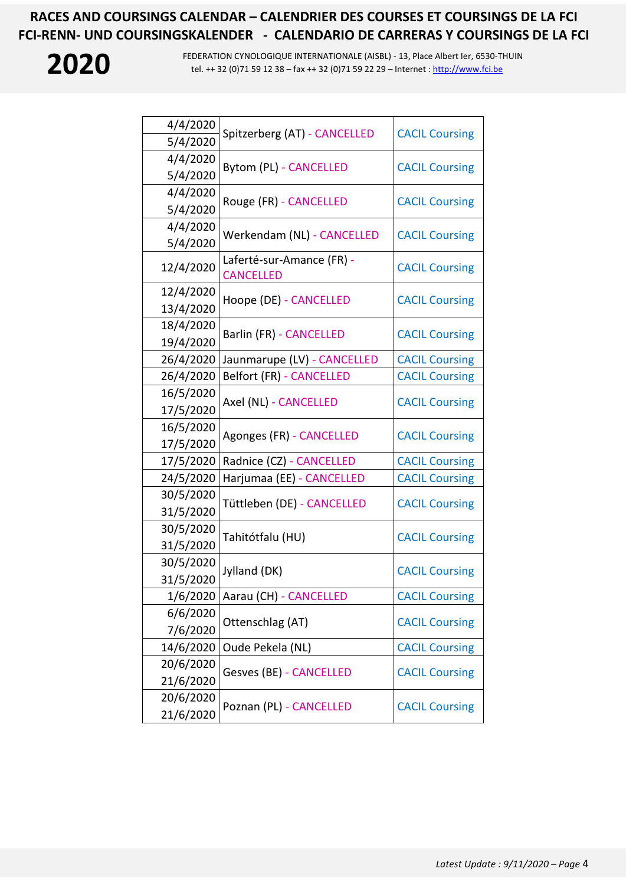| 4/4/2020<br>5/4/2020   | Spitzerberg (AT) - CANCELLED                  | <b>CACIL Coursing</b> |
|------------------------|-----------------------------------------------|-----------------------|
| 4/4/2020<br>5/4/2020   | Bytom (PL) - CANCELLED                        | <b>CACIL Coursing</b> |
| 4/4/2020<br>5/4/2020   | Rouge (FR) - CANCELLED                        | <b>CACIL Coursing</b> |
| 4/4/2020<br>5/4/2020   | Werkendam (NL) - CANCELLED                    | <b>CACIL Coursing</b> |
| 12/4/2020              | Laferté-sur-Amance (FR) -<br><b>CANCELLED</b> | <b>CACIL Coursing</b> |
| 12/4/2020<br>13/4/2020 | Hoope (DE) - CANCELLED                        | <b>CACIL Coursing</b> |
| 18/4/2020<br>19/4/2020 | Barlin (FR) - CANCELLED                       | <b>CACIL Coursing</b> |
| 26/4/2020              | Jaunmarupe (LV) - CANCELLED                   | <b>CACIL Coursing</b> |
| 26/4/2020              | <b>Belfort (FR) - CANCELLED</b>               | <b>CACIL Coursing</b> |
| 16/5/2020<br>17/5/2020 | Axel (NL) - CANCELLED                         | <b>CACIL Coursing</b> |
| 16/5/2020<br>17/5/2020 | Agonges (FR) - CANCELLED                      | <b>CACIL Coursing</b> |
| 17/5/2020              | Radnice (CZ) - CANCELLED                      | <b>CACIL Coursing</b> |
| 24/5/2020              | Harjumaa (EE) - CANCELLED                     | <b>CACIL Coursing</b> |
| 30/5/2020<br>31/5/2020 | Tüttleben (DE) - CANCELLED                    | <b>CACIL Coursing</b> |
| 30/5/2020<br>31/5/2020 | Tahitótfalu (HU)                              | <b>CACIL Coursing</b> |
| 30/5/2020<br>31/5/2020 | Jylland (DK)                                  | <b>CACIL Coursing</b> |
| 1/6/2020               | Aarau (CH) - CANCELLED                        | <b>CACIL Coursing</b> |
| 6/6/2020<br>7/6/2020   | Ottenschlag (AT)                              | <b>CACIL Coursing</b> |
| 14/6/2020              | Oude Pekela (NL)                              | <b>CACIL Coursing</b> |
| 20/6/2020<br>21/6/2020 | Gesves (BE) - CANCELLED                       | <b>CACIL Coursing</b> |
| 20/6/2020<br>21/6/2020 | Poznan (PL) - CANCELLED                       | <b>CACIL Coursing</b> |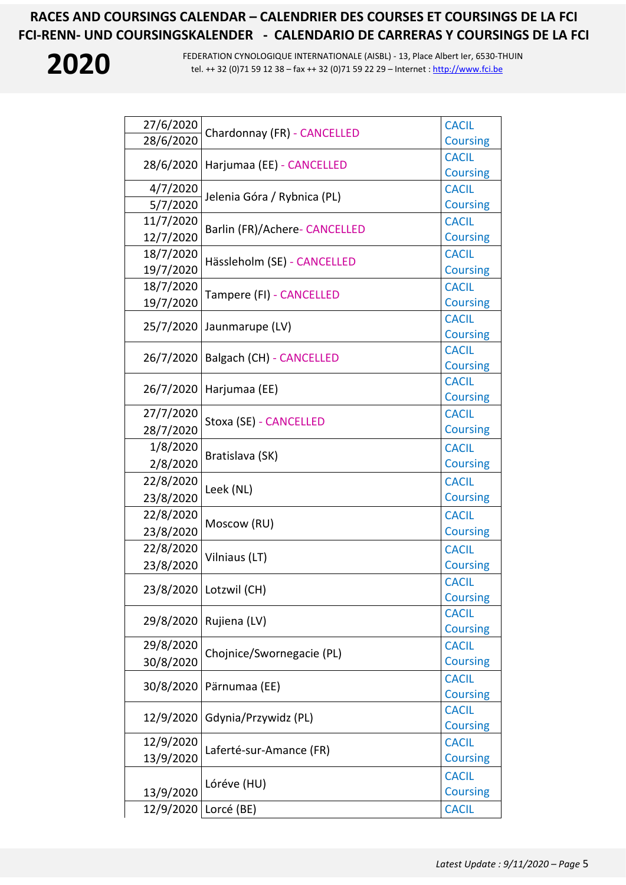| 27/6/2020 |                               | <b>CACIL</b>    |
|-----------|-------------------------------|-----------------|
| 28/6/2020 | Chardonnay (FR) - CANCELLED   | <b>Coursing</b> |
|           | Harjumaa (EE) - CANCELLED     | <b>CACIL</b>    |
| 28/6/2020 |                               | <b>Coursing</b> |
| 4/7/2020  | Jelenia Góra / Rybnica (PL)   | <b>CACIL</b>    |
| 5/7/2020  |                               | <b>Coursing</b> |
| 11/7/2020 |                               | <b>CACIL</b>    |
| 12/7/2020 | Barlin (FR)/Achere- CANCELLED | <b>Coursing</b> |
| 18/7/2020 |                               | <b>CACIL</b>    |
| 19/7/2020 | Hässleholm (SE) - CANCELLED   | <b>Coursing</b> |
| 18/7/2020 |                               | <b>CACIL</b>    |
| 19/7/2020 | Tampere (FI) - CANCELLED      | <b>Coursing</b> |
| 25/7/2020 | Jaunmarupe (LV)               | <b>CACIL</b>    |
|           |                               | <b>Coursing</b> |
| 26/7/2020 | Balgach (CH) - CANCELLED      | <b>CACIL</b>    |
|           |                               | <b>Coursing</b> |
| 26/7/2020 | Harjumaa (EE)                 | <b>CACIL</b>    |
|           |                               | <b>Coursing</b> |
| 27/7/2020 | Stoxa (SE) - CANCELLED        | <b>CACIL</b>    |
| 28/7/2020 |                               | <b>Coursing</b> |
| 1/8/2020  | Bratislava (SK)               | <b>CACIL</b>    |
| 2/8/2020  |                               | <b>Coursing</b> |
| 22/8/2020 | Leek (NL)                     | <b>CACIL</b>    |
| 23/8/2020 |                               | <b>Coursing</b> |
| 22/8/2020 |                               | <b>CACIL</b>    |
| 23/8/2020 | Moscow (RU)                   | <b>Coursing</b> |
| 22/8/2020 |                               | <b>CACIL</b>    |
| 23/8/2020 | Vilniaus (LT)                 | <b>Coursing</b> |
|           |                               | <b>CACIL</b>    |
|           | 23/8/2020   Lotzwil (CH)      | <b>Coursing</b> |
| 29/8/2020 | Rujiena (LV)                  | <b>CACIL</b>    |
|           |                               | <b>Coursing</b> |
| 29/8/2020 | Chojnice/Swornegacie (PL)     | <b>CACIL</b>    |
| 30/8/2020 |                               | <b>Coursing</b> |
| 30/8/2020 | Pärnumaa (EE)                 | <b>CACIL</b>    |
|           |                               | <b>Coursing</b> |
| 12/9/2020 | Gdynia/Przywidz (PL)          | <b>CACIL</b>    |
|           |                               | <b>Coursing</b> |
| 12/9/2020 | Laferté-sur-Amance (FR)       | <b>CACIL</b>    |
| 13/9/2020 |                               | <b>Coursing</b> |
|           | Lóréve (HU)                   | <b>CACIL</b>    |
| 13/9/2020 |                               | <b>Coursing</b> |
| 12/9/2020 | Lorcé (BE)                    | <b>CACIL</b>    |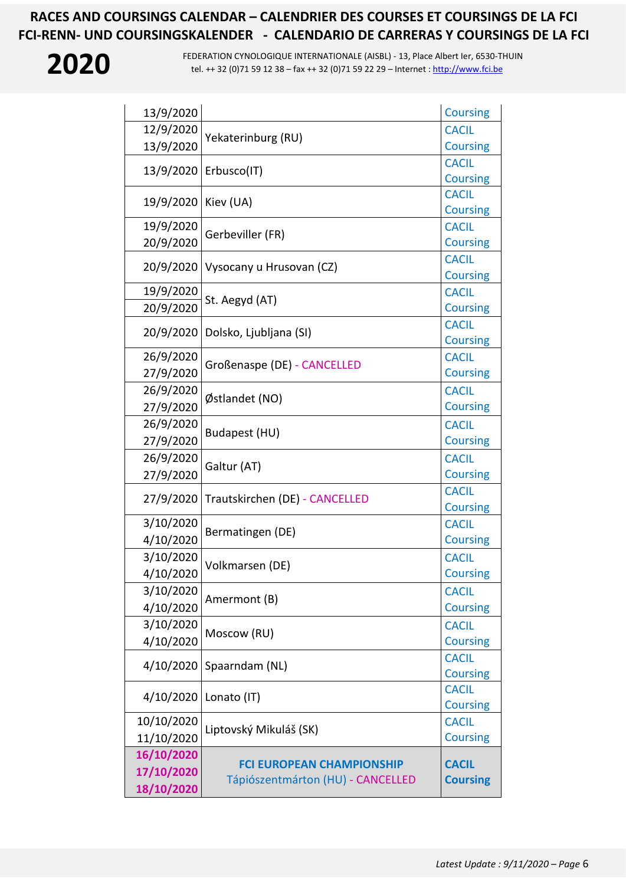| 13/9/2020  |                                   | <b>Coursing</b> |
|------------|-----------------------------------|-----------------|
| 12/9/2020  |                                   | <b>CACIL</b>    |
| 13/9/2020  | Yekaterinburg (RU)                | <b>Coursing</b> |
|            |                                   | <b>CACIL</b>    |
| 13/9/2020  | Erbusco(IT)                       | <b>Coursing</b> |
| 19/9/2020  | Kiev (UA)                         | <b>CACIL</b>    |
|            |                                   | <b>Coursing</b> |
| 19/9/2020  | Gerbeviller (FR)                  | <b>CACIL</b>    |
| 20/9/2020  |                                   | <b>Coursing</b> |
| 20/9/2020  | Vysocany u Hrusovan (CZ)          | <b>CACIL</b>    |
|            |                                   | <b>Coursing</b> |
| 19/9/2020  | St. Aegyd (AT)                    | <b>CACIL</b>    |
| 20/9/2020  |                                   | <b>Coursing</b> |
| 20/9/2020  | Dolsko, Ljubljana (SI)            | <b>CACIL</b>    |
|            |                                   | <b>Coursing</b> |
| 26/9/2020  |                                   | <b>CACIL</b>    |
| 27/9/2020  | Großenaspe (DE) - CANCELLED       | <b>Coursing</b> |
| 26/9/2020  |                                   | <b>CACIL</b>    |
| 27/9/2020  | Østlandet (NO)                    | <b>Coursing</b> |
| 26/9/2020  |                                   | <b>CACIL</b>    |
| 27/9/2020  | Budapest (HU)                     | <b>Coursing</b> |
| 26/9/2020  |                                   | <b>CACIL</b>    |
| 27/9/2020  | Galtur (AT)                       | <b>Coursing</b> |
|            |                                   | <b>CACIL</b>    |
| 27/9/2020  | Trautskirchen (DE) - CANCELLED    | <b>Coursing</b> |
| 3/10/2020  |                                   | <b>CACIL</b>    |
| 4/10/2020  | Bermatingen (DE)                  | <b>Coursing</b> |
| 3/10/2020  |                                   | <b>CACIL</b>    |
| 4/10/2020  | Volkmarsen (DE)                   | <b>Coursing</b> |
| 3/10/2020  |                                   | <b>CACIL</b>    |
| 4/10/2020  | Amermont (B)                      | <b>Coursing</b> |
| 3/10/2020  |                                   | <b>CACIL</b>    |
| 4/10/2020  | Moscow (RU)                       | <b>Coursing</b> |
|            |                                   | <b>CACIL</b>    |
| 4/10/2020  | Spaarndam (NL)                    | <b>Coursing</b> |
|            |                                   | <b>CACIL</b>    |
| 4/10/2020  | Lonato (IT)                       | <b>Coursing</b> |
| 10/10/2020 |                                   | <b>CACIL</b>    |
| 11/10/2020 | Liptovský Mikuláš (SK)            | <b>Coursing</b> |
| 16/10/2020 |                                   |                 |
| 17/10/2020 | <b>FCI EUROPEAN CHAMPIONSHIP</b>  | <b>CACIL</b>    |
| 18/10/2020 | Tápiószentmárton (HU) - CANCELLED | <b>Coursing</b> |